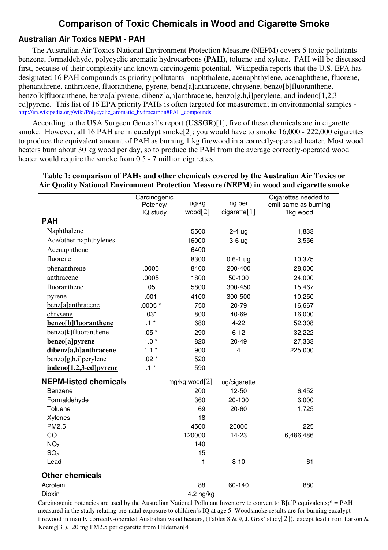# **Comparison of Toxic Chemicals in Wood and Cigarette Smoke**

### **Australian Air Toxics NEPM - PAH**

The Australian Air Toxics National Environment Protection Measure (NEPM) covers 5 toxic pollutants – benzene, formaldehyde, polycyclic aromatic hydrocarbons (**PAH**), toluene and xylene. PAH will be discussed first, because of their complexity and known carcinogenic potential. Wikipedia reports that the U.S. EPA has designated 16 PAH compounds as priority pollutants - naphthalene, acenaphthylene, acenaphthene, fluorene, phenanthrene, anthracene, fluoranthene, pyrene, benz[a]anthracene, chrysene, benzo[b]fluoranthene, benzo[k]fluoranthene, benzo[a]pyrene, dibenz[a,h]anthracene, benzo[g,h,i]perylene, and indeno[1,2,3 cdlpvrene. This list of 16 EPA priority PAHs is often targeted for measurement in environmental samples http://en.wikipedia.org/wiki/Polycyclic\_aromatic\_hydrocarbon#PAH\_compounds

According to the USA Surgeon General's report (USSGR)[1], five of these chemicals are in cigarette smoke. However, all 16 PAH are in eucalypt smoke[2]; you would have to smoke 16,000 - 222,000 cigarettes to produce the equivalent amount of PAH as burning 1 kg firewood in a correctly-operated heater. Most wood heaters burn about 30 kg wood per day, so to produce the PAH from the average correctly-operated wood heater would require the smoke from 0.5 - 7 million cigarettes.

|                              | Carcinogenic |                  |                         | Cigarettes needed to |
|------------------------------|--------------|------------------|-------------------------|----------------------|
|                              | Potency/     | ug/kg            | ng per                  | emit same as burning |
|                              | IQ study     | wood[2]          | cigarette[1]            | 1kg wood             |
| <b>PAH</b>                   |              |                  |                         |                      |
| Naphthalene                  |              | 5500             | $2-4$ ug                | 1,833                |
| Ace/other naphthylenes       |              | 16000            | $3-6$ ug                | 3,556                |
| Acenaphthene                 |              | 6400             |                         |                      |
| fluorene                     |              | 8300             | $0.6 - 1$ ug            | 10,375               |
| phenanthrene                 | .0005        | 8400             | 200-400                 | 28,000               |
| anthracene                   | .0005        | 1800             | 50-100                  | 24,000               |
| fluoranthene                 | .05          | 5800             | 300-450                 | 15,467               |
| pyrene                       | .001         | 4100             | 300-500                 | 10,250               |
| benz[a]anthracene            | .0005 *      | 750              | 20-79                   | 16,667               |
| chrysene                     | $.03*$       | 800              | 40-69                   | 16,000               |
| benzo[b]fluoranthene         | $.1$ *       | 680              | $4 - 22$                | 52,308               |
| benzo[k]fluoranthene         | $.05*$       | 290              | $6 - 12$                | 32,222               |
| benzo[a]pyrene               | $1.0*$       | 820              | 20-49                   | 27,333               |
| dibenz[a,h]anthracene        | $1.1 *$      | 900              | $\overline{\mathbf{4}}$ | 225,000              |
| $benzo[g,h,i]$ per ylene     | $.02*$       | 520              |                         |                      |
| indeno[1,2,3-cd]pyrene       | $.1 *$       | 590              |                         |                      |
| <b>NEPM-listed chemicals</b> |              | mg/kg wood $[2]$ | ug/cigarette            |                      |
| Benzene                      |              | 200              | 12-50                   | 6,452                |
| Formaldehyde                 |              | 360              | 20-100                  | 6,000                |
| Toluene                      |              | 69               | 20-60                   | 1,725                |
| Xylenes                      |              | 18               |                         |                      |
| PM2.5                        |              | 4500             | 20000                   | 225                  |
| CO                           |              | 120000           | 14-23                   | 6,486,486            |
| NO <sub>2</sub>              |              | 140              |                         |                      |
| SO <sub>2</sub>              |              | 15               |                         |                      |
| Lead                         |              | 1                | $8 - 10$                | 61                   |
| <b>Other chemicals</b>       |              |                  |                         |                      |
| Acrolein                     |              | 88               | 60-140                  | 880                  |
| Dioxin                       |              | 4.2 $ng/kg$      |                         |                      |

**Table 1: comparison of PAHs and other chemicals covered by the Australian Air Toxics or Air Quality National Environment Protection Measure (NEPM) in wood and cigarette smoke** 

Carcinogenic potencies are used by the Australian National Pollutant Inventory to convert to  $B[a]P$  equivalents;  $* = PAH$ measured in the study relating pre-natal exposure to children's IQ at age 5. Woodsmoke results are for burning eucalypt firewood in mainly correctly-operated Australian wood heaters, (Tables 8 & 9, J. Gras' study[2]), except lead (from Larson & Koenig[3]). 20 mg PM2.5 per cigarette from Hildeman[4]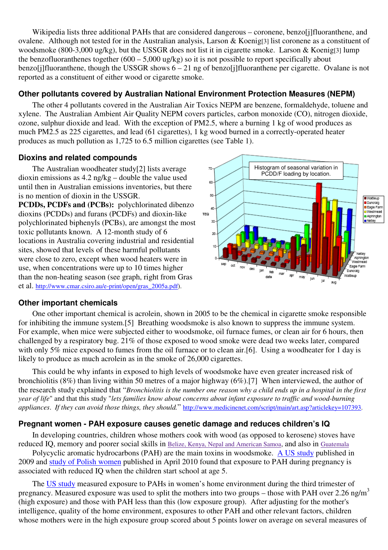Wikipedia lists three additional PAHs that are considered dangerous – coronene, benzo[j]fluoranthene, and ovalene. Although not tested for in the Australian analysis, Larson & Koenig[3] list coronene as a constituent of woodsmoke (800-3,000 ug/kg), but the USSGR does not list it in cigarette smoke. Larson & Koenig[3] lump the benzofluoranthenes together (600 – 5,000 ug/kg) so it is not possible to report specifically about benzo[j]fluoranthene, though the USSGR shows  $6 - 21$  ng of benzo[j]fluoranthene per cigarette. Ovalane is not reported as a constituent of either wood or cigarette smoke.

## **Other pollutants covered by Australian National Environment Protection Measures (NEPM)**

The other 4 pollutants covered in the Australian Air Toxics NEPM are benzene, formaldehyde, toluene and xylene. The Australian Ambient Air Quality NEPM covers particles, carbon monoxide (CO), nitrogen dioxide, ozone, sulphur dioxide and lead. With the exception of PM2.5, where a burning 1 kg of wood produces as much PM2.5 as 225 cigarettes, and lead (61 cigarettes), 1 kg wood burned in a correctly-operated heater produces as much pollution as 1,725 to 6.5 million cigarettes (see Table 1).

## **Dioxins and related compounds**

The Australian woodheater study[2] lists average dioxin emissions as 4.2 ng/kg – double the value used until then in Australian emissions inventories, but there is no mention of dioxin in the USSGR.

**PCDDs, PCDFs and (PCBs):** polychlorinated dibenzo dioxins (PCDDs) and furans (PCDFs) and dioxin-like polychlorinated biphenyls (PCBs), are amongst the most toxic pollutants known. A 12-month study of 6 locations in Australia covering industrial and residential sites, showed that levels of these harmful pollutants were close to zero, except when wood heaters were in use, when concentrations were up to 10 times higher than the non-heating season (see graph, right from Gras et al. http://www.cmar.csiro.au/e-print/open/gras\_2005a.pdf).



## **Other important chemicals**

One other important chemical is acrolein, shown in 2005 to be the chemical in cigarette smoke responsible for inhibiting the immune system.[5] Breathing woodsmoke is also known to suppress the immune system. For example, when mice were subjected either to woodsmoke, oil furnace fumes, or clean air for 6 hours, then challenged by a respiratory bug. 21% of those exposed to wood smoke were dead two weeks later, compared with only 5% mice exposed to fumes from the oil furnace or to clean air.[6]. Using a woodheater for 1 day is likely to produce as much acrolein as in the smoke of 26,000 cigarettes.

This could be why infants in exposed to high levels of woodsmoke have even greater increased risk of bronchiolitis (8%) than living within 50 metres of a major highway (6%).[7] When interviewed, the author of the research study explained that "*Bronchiolitis is the number one reason why a child ends up in a hospital in the first year of life*" and that this study "*lets families know about concerns about infant exposure to traffic and wood-burning appliances*. *If they can avoid those things, they should.*" http://www.medicinenet.com/script/main/art.asp?articlekey=107393.

## **Pregnant women - PAH exposure causes genetic damage and reduces children's IQ**

In developing countries, children whose mothers cook with wood (as opposed to kerosene) stoves have reduced IQ, memory and poorer social skills in Belize, Kenya, Nepal and American Samoa, and also in Guatemala

Polycyclic aromatic hydrocarbons (PAH) are the main toxins in woodsmoke. A US study published in 2009 and study of Polish women published in April 2010 found that exposure to PAH during pregnancy is associated with reduced IQ when the children start school at age 5.

The US study measured exposure to PAHs in women's home environment during the third trimester of pregnancy. Measured exposure was used to split the mothers into two groups – those with PAH over 2.26 ng/m<sup>3</sup> (high exposure) and those with PAH less than this (low exposure group). After adjusting for the mother's intelligence, quality of the home environment, exposures to other PAH and other relevant factors, children whose mothers were in the high exposure group scored about 5 points lower on average on several measures of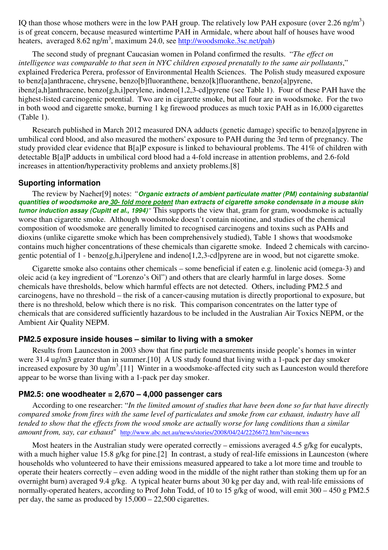IQ than those whose mothers were in the low PAH group. The relatively low PAH exposure (over 2.26 ng/m<sup>3</sup>) is of great concern, because measured wintertime PAH in Armidale, where about half of houses have wood heaters, averaged 8.62 ng/m<sup>3</sup>, maximum 24.0, see http://woodsmoke.3sc.net/pah)

The second study of pregnant Caucasian women in Poland confirmed the results. "*The effect on intelligence was comparable to that seen in NYC children exposed prenatally to the same air pollutants*," explained Frederica Perera, professor of Environmental Health Sciences. The Polish study measured exposure to benz[a]anthracene, chrysene, benzo[b]fluoranthene, benzo[k]fluoranthene, benzo[a]pyrene, ibenz[a,h]anthracene, benzo[g,h,i]perylene, indeno[1,2,3-cd]pyrene (see Table 1). Four of these PAH have the highest-listed carcinogenic potential. Two are in cigarette smoke, but all four are in woodsmoke. For the two in both wood and cigarette smoke, burning 1 kg firewood produces as much toxic PAH as in 16,000 cigarettes (Table 1).

Research published in March 2012 measured DNA adducts (genetic damage) specific to benzo[a]pyrene in umbilical cord blood, and also measured the mothers' exposure to PAH during the 3rd term of pregnancy. The study provided clear evidence that B[a]P exposure is linked to behavioural problems. The 41% of children with detectable B[a]P adducts in umbilical cord blood had a 4-fold increase in attention problems, and 2.6-fold increases in attention/hyperactivity problems and anxiety problems.[8]

#### **Suporting information**

The review by Naeher[9] notes: *"***Organic extracts of ambient particulate matter (PM) containing substantial quantities of woodsmoke are 30- fold more potent than extracts of cigarette smoke condensate in a mouse skin tumor induction assay (Cupitt et al., 1994)***"* This supports the view that, gram for gram, woodsmoke is actually worse than cigarette smoke. Although woodsmoke doesn't contain nicotine, and studies of the chemical composition of woodsmoke are generally limited to recognised carcinogens and toxins such as PAHs and dioxins (unlike cigarette smoke which has been comprehensively studied), Table 1 shows that woodsmoke contains much higher concentrations of these chemicals than cigarette smoke. Indeed 2 chemicals with carcinogentic potential of 1 - benzo[g,h,i]perylene and indeno[1,2,3-cd]pyrene are in wood, but not cigarette smoke.

Cigarette smoke also contains other chemicals – some beneficial if eaten e.g. linolenic acid (omega-3) and oleic acid (a key ingredient of "Lorenzo's Oil") and others that are clearly harmful in large doses. Some chemicals have thresholds, below which harmful effects are not detected. Others, including PM2.5 and carcinogens, have no threshold – the risk of a cancer-causing mutation is directly proportional to exposure, but there is no threshold, below which there is no risk. This comparison concentrates on the latter type of chemicals that are considered sufficiently hazardous to be included in the Australian Air Toxics NEPM, or the Ambient Air Quality NEPM.

#### **PM2.5 exposure inside houses – similar to living with a smoker**

Results from Launceston in 2003 show that fine particle measurements inside people's homes in winter were 31.4 ug/m3 greater than in summer.[10] A US study found that living with a 1-pack per day smoker increased exposure by 30 ug/m<sup>3</sup>.[11] Winter in a woodsmoke-affected city such as Launceston would therefore appear to be worse than living with a 1-pack per day smoker.

#### **PM2.5: one woodheater = 2,670 – 4,000 passenger cars**

According to one researcher: "*In the limited amount of studies that have been done so far that have directly compared smoke from fires with the same level of particulates and smoke from car exhaust, industry have all tended to show that the effects from the wood smoke are actually worse for lung conditions than a similar amount from, say, car exhaust*" http://www.abc.net.au/news/stories/2008/04/24/2226672.htm?site=news

Most heaters in the Australian study were operated correctly – emissions averaged 4.5 g/kg for eucalypts, with a much higher value 15.8 g/kg for pine.<sup>[2]</sup> In contrast, a study of real-life emissions in Launceston (where households who volunteered to have their emissions measured appeared to take a lot more time and trouble to operate their heaters correctly – even adding wood in the middle of the night rather than stoking them up for an overnight burn) averaged 9.4 g/kg. A typical heater burns about 30 kg per day and, with real-life emissions of normally-operated heaters, according to Prof John Todd, of 10 to 15 g/kg of wood, will emit 300 – 450 g PM2.5 per day, the same as produced by  $15,000 - 22,500$  cigarettes.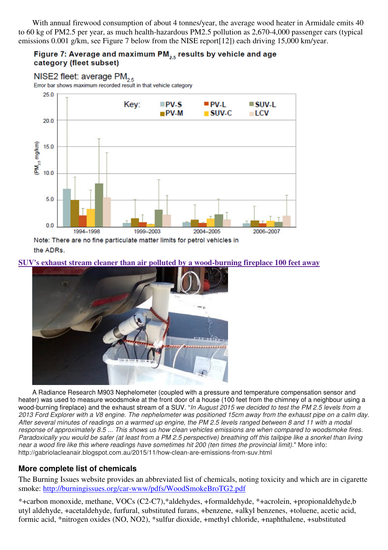With annual firewood consumption of about 4 tonnes/year, the average wood heater in Armidale emits 40 to 60 kg of PM2.5 per year, as much health-hazardous PM2.5 pollution as 2,670-4,000 passenger cars (typical emissions 0.001 g/km, see Figure 7 below from the NISE report[12]) each driving 15,000 km/year.

### Figure 7: Average and maximum PM<sub>25</sub> results by vehicle and age category (fleet subset)

### NISE2 fleet: average PM<sub>25</sub>

Error bar shows maximum recorded result in that vehicle category



#### the ADRs.

**SUV's exhaust stream cleaner than air polluted by a wood-burning fireplace 100 feet away**



A Radiance Research M903 Nephelometer (coupled with a pressure and temperature compensation sensor and heater) was used to measure woodsmoke at the front door of a house (100 feet from the chimney of a neighbour using a wood-burning fireplace) and the exhaust stream of a SUV. "In August 2015 we decided to test the PM 2.5 levels from a 2013 Ford Explorer with a V8 engine. The nephelometer was positioned 15cm away from the exhaust pipe on a calm day. After several minutes of readings on a warmed up engine, the PM 2.5 levels ranged between 8 and 11 with a modal response of approximately 8.5 ... This shows us how clean vehicles emissions are when compared to woodsmoke fires. Paradoxically you would be safer (at least from a PM 2.5 perspective) breathing off this tailpipe like a snorkel than living near a wood fire like this where readings have sometimes hit 200 (ten times the provincial limit)." More info: http://gabriolacleanair.blogspot.com.au/2015/11/how-clean-are-emissions-from-suv.html

## **More complete list of chemicals**

The Burning Issues website provides an abbreviated list of chemicals, noting toxicity and which are in cigarette smoke: http://burningissues.org/car-www/pdfs/WoodSmokeBroTG2.pdf

\*+carbon monoxide, methane, VOCs (C2-C7),\*aldehydes, +formaldehyde, \*+acrolein, +propionaldehyde,b utyl aldehyde, +acetaldehyde, furfural, substituted furans, +benzene, +alkyl benzenes, +toluene, acetic acid, formic acid, \*nitrogen oxides (NO, NO2), \*sulfur dioxide, +methyl chloride, +naphthalene, +substituted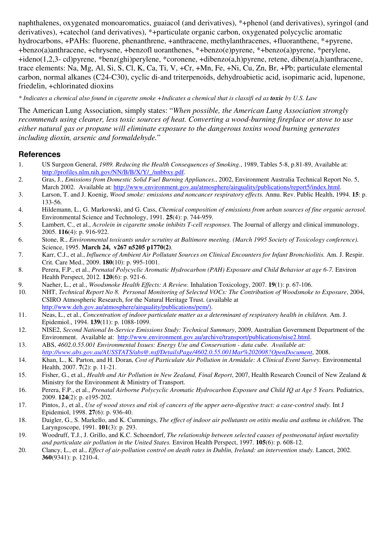naphthalenes, oxygenated monoaromatics, guaiacol (and derivatives), \*+phenol (and derivatives), syringol (and derivatives), +catechol (and derivatives), \*+particulate organic carbon, oxygenated polycyclic aromatic hydrocarbons, +PAHs: fluorene, phenanthrene, +anthracene, methylanthracenes, +fluoranthene, \*+pyrene, +benzo(a)anthracene, +chrysene, +benzofl uoranthenes, \*+benzo(e)pyrene, \*+benzo(a)pyrene, \*perylene, +ideno(1,2,3- cd)pyrene, \*benz(ghi)perylene, \*coronene, +dibenzo(a,h)pyrene, retene, dibenz(a,h)anthracene, trace elements: Na, Mg, Al, Si, S, Cl, K, Ca, Ti, V, +Cr, +Mn, Fe, +Ni, Cu, Zn, Br, +Pb; particulate elemental carbon, normal alkanes (C24-C30), cyclic di-and triterpenoids, dehydroabietic acid, isopimaric acid, lupenone, friedelin, +chlorinated dioxins

*\* Indicates a chemical also found in cigarette smoke +Indicates a chemical that is classifi ed as toxic by U.S. Law*

The American Lung Association, simply states: "*When possible, the American Lung Association strongly recommends using cleaner, less toxic sources of heat. Converting a wood-burning fireplace or stove to use either natural gas or propane will eliminate exposure to the dangerous toxins wood burning generates including dioxin, arsenic and formaldehyde.*"

#### **References**

- 1. US Surgeon General, *1989. Reducing the Health Consequences of Smoking.*, 1989, Tables 5-8, p.81-89, Available at: http://profiles.nlm.nih.gov/NN/B/B/X/Y/\_/nnbbxy.pdf.
- 2. Gras, J., *Emissions from Domestic Solid Fuel Burning Appliances.*, 2002, Environment Australia Technical Report No. 5, March 2002. Available at: http://www.environment.gov.au/atmosphere/airquality/publications/report5/index.html.
- 3. Larson, T. and J. Koenig, *Wood smoke: emissions and noncancer respiratory effects.* Annu. Rev. Public Health, 1994. **15**: p. 133-56.
- 4. Hildemann, L., G. Markowski, and G. Cass, *Chemical composition of emissions from urban sources of fine organic aerosol.* Environmental Science and Technology, 1991. **25**(4): p. 744-959.
- 5. Lambert, C., et al., *Acrolein in cigarette smoke inhibits T-cell responses.* The Journal of allergy and clinical immunology, 2005. **116**(4): p. 916-922.
- 6. Stone, R., *Environmental toxicants under scrutiny at Baltimore meeting. (March 1995 Society of Toxicology conference).* Science, 1995. **March 24, v267 n5205 p1770(2)**.
- 7. Karr, C.J., et al., *Influence of Ambient Air Pollutant Sources on Clinical Encounters for Infant Bronchiolitis.* Am. J. Respir. Crit. Care Med., 2009. **180**(10): p. 995-1001.
- 8. Perera, F.P., et al., *Prenatal Polycyclic Aromatic Hydrocarbon (PAH) Exposure and Child Behavior at age 6-7.* Environ Health Perspect, 2012. **120**(6): p. 921-6.
- 9. Naeher, L., et al., *Woodsmoke Health Effects: A Review.* Inhalation Toxicology, 2007. **19**(1): p. 67-106.
- 10. NHT, *Technical Report No 8. Personal Monitoring of Selected VOCs: The Contribution of Woodsmoke to Exposure*, 2004, CSIRO Atmospheric Research, for the Natural Heritage Trust. (available at http://www.deh.gov.au/atmosphere/airquality/publications/pem/).
- 11. Neas, L., et al., *Concentration of indoor particulate matter as a determinant of respiratory health in children.* Am. J. Epidemiol., 1994. **139**(11): p. 1088-1099.
- 12. NISE2, *Second National In-Service Emissions Study: Technical Summary*, 2009, Australian Government Department of the Environment. Available at: http://www.environment.gov.au/archive/transport/publications/nise2.html.
- 13. ABS, *4602.0.55.001 Environmental Issues: Energy Use and Conservation data cube. Available at: http://www.abs.gov.au/AUSSTATS/abs@.nsf/DetailsPage/4602.0.55.001Mar%202008?OpenDocument*, 2008.
- 14. Khan, L., K. Parton, and H. Doran, *Cost of Particulate Air Pollution in Armidale: A Clinical Event Survey.* Environmental Health, 2007. **7**(2): p. 11-21.
- 15. Fisher, G., et al., *Health and Air Pollution in New Zealand, Final Report*, 2007, Health Research Council of New Zealand & Ministry for the Environment & Ministry of Transport.
- 16. Perera, F.P., et al., *Prenatal Airborne Polycyclic Aromatic Hydrocarbon Exposure and Child IQ at Age 5 Years.* Pediatrics, 2009. **124**(2): p. e195-202.
- 17. Pintos, J., et al., *Use of wood stoves and risk of cancers of the upper aero-digestive tract: a case-control study.* Int J Epidemiol, 1998. **27**(6): p. 936-40.
- 18. Daigler, G., S. Markello, and K. Cummings, *The effect of indoor air pollutants on otitis media and asthma in children.* The Laryngoscope, 1991. **101**(3): p. 293.
- 19. Woodruff, T.J., J. Grillo, and K.C. Schoendorf, *The relationship between selected causes of postneonatal infant mortality and particulate air pollution in the United States.* Environ Health Perspect, 1997. **105**(6): p. 608-12.
- 20. Clancy, L., et al., *Effect of air-pollution control on death rates in Dublin, Ireland: an intervention study.* Lancet, 2002. **360**(9341): p. 1210-4.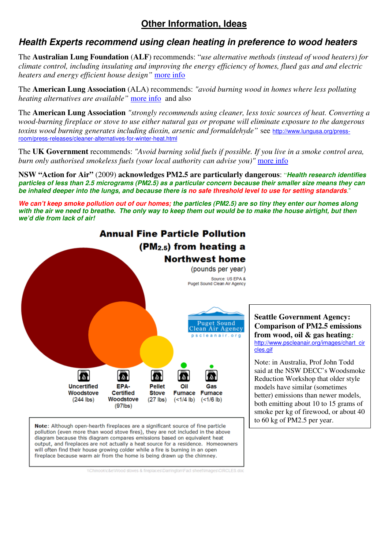# **Other Information, Ideas**

## **Health Experts recommend using clean heating in preference to wood heaters**

The **Australian Lung Foundation** (**ALF**) recommends: "*use alternative methods (instead of wood heaters) for climate control, including insulating and improving the energy efficiency of homes, flued gas and and electric heaters and energy efficient house design"* more info

The **American Lung Association** (ALA) recommends: *"avoid burning wood in homes where less polluting heating alternatives are available"* more info and also

The **American Lung Association** *"strongly recommends using cleaner, less toxic sources of heat. Converting a wood-burning fireplace or stove to use either natural gas or propane will eliminate exposure to the dangerous toxins wood burning generates including dioxin, arsenic and formaldehyde"* see http://www.lungusa.org/pressroom/press-releases/cleaner-alternatives-for-winter-heat.html

The **UK Government** recommends: *"Avoid burning solid fuels if possible. If you live in a smoke control area, burn only authorised smokeless fuels (your local authority can advise you)"* more info

**NSW "Action for Air"** (2009) **acknowledges PM2.5 are particularly dangerous**: "**Health research identifies particles of less than 2.5 micrograms (PM2.5) as a particular concern because their smaller size means they can be inhaled deeper into the lungs, and because there is no safe threshold level to use for setting standards**."

**We can't keep smoke pollution out of our homes; the particles (PM2.5) are so tiny they enter our homes along with the air we need to breathe. The only way to keep them out would be to make the house airtight, but then we'd die from lack of air!** 



Note: Although open-hearth fireplaces are a significant source of fine particle pollution (even more than wood stove fires), they are not included in the above diagram because this diagram compares emissions based on equivalent heat output, and fireplaces are not actually a heat source for a residence. Homeowners will often find their house growing colder while a fire is burning in an open fireplace because warm air from the home is being drawn up the chimney.

\\Chinook\c&e\Wood stoves & fireplaces\Darrington\Fact sheet\Images\CIRCLES.doo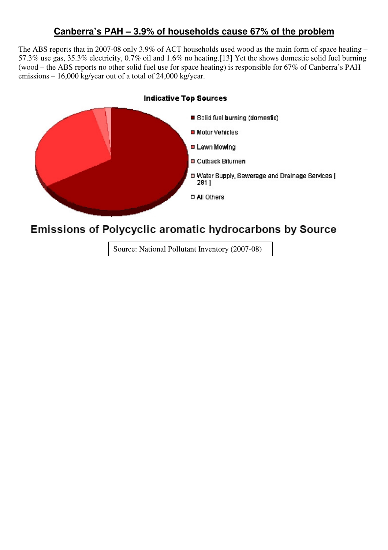# **Canberra's PAH – 3.9% of households cause 67% of the problem**

The ABS reports that in 2007-08 only 3.9% of ACT households used wood as the main form of space heating – 57.3% use gas, 35.3% electricity, 0.7% oil and 1.6% no heating.[13] Yet the shows domestic solid fuel burning (wood – the ABS reports no other solid fuel use for space heating) is responsible for 67% of Canberra's PAH emissions – 16,000 kg/year out of a total of 24,000 kg/year.



# Emissions of Polycyclic aromatic hydrocarbons by Source

Source: National Pollutant Inventory (2007-08)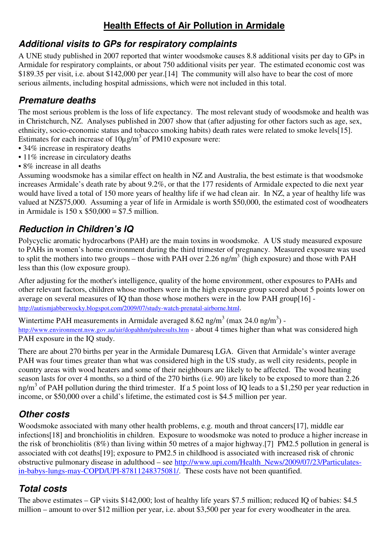# **Health Effects of Air Pollution in Armidale**

# **Additional visits to GPs for respiratory complaints**

A UNE study published in 2007 reported that winter woodsmoke causes 8.8 additional visits per day to GPs in Armidale for respiratory complaints, or about 750 additional visits per year. The estimated economic cost was \$189.35 per visit, i.e. about \$142,000 per year.[14] The community will also have to bear the cost of more serious ailments, including hospital admissions, which were not included in this total.

# **Premature deaths**

The most serious problem is the loss of life expectancy. The most relevant study of woodsmoke and health was in Christchurch, NZ. Analyses published in 2007 show that (after adjusting for other factors such as age, sex, ethnicity, socio-economic status and tobacco smoking habits) death rates were related to smoke levels[15]. Estimates for each increase of  $10\mu\text{g/m}^3$  of PM10 exposure were:

- 34% increase in respiratory deaths
- 11% increase in circulatory deaths
- 8% increase in all deaths

Assuming woodsmoke has a similar effect on health in NZ and Australia, the best estimate is that woodsmoke increases Armidale's death rate by about 9.2%, or that the 177 residents of Armidale expected to die next year would have lived a total of 150 more years of healthy life if we had clean air. In NZ, a year of healthy life was valued at NZ\$75,000. Assuming a year of life in Armidale is worth \$50,000, the estimated cost of woodheaters in Armidale is  $150 \times $50,000 = $7.5$  million.

# **Reduction in Children's IQ**

Polycyclic aromatic hydrocarbons (PAH) are the main toxins in woodsmoke. A US study measured exposure to PAHs in women's home environment during the third trimester of pregnancy. Measured exposure was used to split the mothers into two groups – those with PAH over 2.26 ng/m<sup>3</sup> (high exposure) and those with PAH less than this (low exposure group).

After adjusting for the mother's intelligence, quality of the home environment, other exposures to PAHs and other relevant factors, children whose mothers were in the high exposure group scored about 5 points lower on average on several measures of IQ than those whose mothers were in the low PAH group[16] http://autismjabberwocky.blogspot.com/2009/07/study-watch-prenatal-airborne.html.

Wintertime PAH measurements in Armidale averaged 8.62 ng/m<sup>3</sup> (max 24.0 ng/m<sup>3</sup>) http://www.environment.nsw.gov.au/air/dopahhm/pahresults.htm - about 4 times higher than what was considered high PAH exposure in the IQ study.

There are about 270 births per year in the Armidale Dumaresq LGA. Given that Armidale's winter average PAH was four times greater than what was considered high in the US study, as well city residents, people in country areas with wood heaters and some of their neighbours are likely to be affected. The wood heating season lasts for over 4 months, so a third of the 270 births (i.e. 90) are likely to be exposed to more than 2.26 ng/m<sup>3</sup> of PAH pollution during the third trimester. If a 5 point loss of IQ leads to a \$1,250 per year reduction in income, or \$50,000 over a child's lifetime, the estimated cost is \$4.5 million per year.

# **Other costs**

Woodsmoke associated with many other health problems, e.g. mouth and throat cancers[17], middle ear infections[18] and bronchiolitis in children. Exposure to woodsmoke was noted to produce a higher increase in the risk of bronchiolitis (8%) than living within 50 metres of a major highway.[7] PM2.5 pollution in general is associated with cot deaths[19]; exposure to PM2.5 in childhood is associated with increased risk of chronic obstructive pulmonary disease in adulthood – see http://www.upi.com/Health\_News/2009/07/23/Particulatesin-babys-lungs-may-COPD/UPI-87811248375081/. These costs have not been quantified.

# **Total costs**

The above estimates – GP visits \$142,000; lost of healthy life years \$7.5 million; reduced IQ of babies: \$4.5 million – amount to over \$12 million per year, i.e. about \$3,500 per year for every woodheater in the area.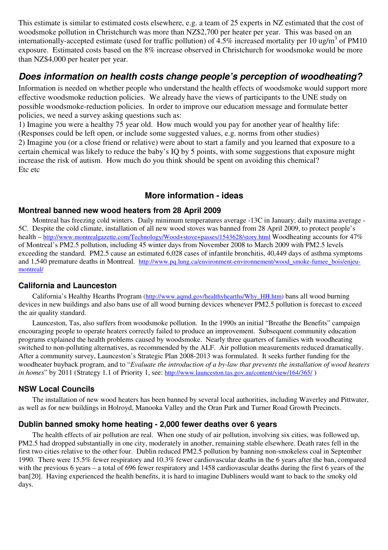This estimate is similar to estimated costs elsewhere, e.g. a team of 25 experts in NZ estimated that the cost of woodsmoke pollution in Christchurch was more than NZ\$2,700 per heater per year. This was based on an internationally-accepted estimate (used for traffic pollution) of  $4.5\%$  increased mortality per 10 ug/m<sup>3</sup> of PM10 exposure. Estimated costs based on the 8% increase observed in Christchurch for woodsmoke would be more than NZ\$4,000 per heater per year.

# **Does information on health costs change people's perception of woodheating?**

Information is needed on whether people who understand the health effects of woodsmoke would support more effective woodsmoke reduction policies. We already have the views of participants to the UNE study on possible woodsmoke-reduction policies. In order to improve our education message and formulate better policies, we need a survey asking questions such as:

1) Imagine you were a healthy 75 year old. How much would you pay for another year of healthy life: (Responses could be left open, or include some suggested values, e.g. norms from other studies) 2) Imagine you (or a close friend or relative) were about to start a family and you learned that exposure to a certain chemical was likely to reduce the baby's IQ by 5 points, with some suggestions that exposure might increase the risk of autism. How much do you think should be spent on avoiding this chemical? Etc etc

## **More information - ideas**

### **Montreal banned new wood heaters from 28 April 2009**

Montreal has freezing cold winters. Daily minimum temperatures average -13C in January; daily maxima average - 5C. Despite the cold climate, installation of all new wood stoves was banned from 28 April 2009, to protect people's health – http://www.montrealgazette.com/Technology/Wood+stove+passes/1543628/story.html Woodheating accounts for 47% of Montreal's PM2.5 pollution, including 45 winter days from November 2008 to March 2009 with PM2.5 levels exceeding the standard. PM2.5 cause an estimated 6,028 cases of infantile bronchitis, 40,449 days of asthma symptoms and 1,540 premature deaths in Montreal. http://www.pq.lung.ca/environment-environnement/wood\_smoke-fumee\_bois/enjeumontreal/

## **California and Launceston**

California's Healthy Hearths Program (http://www.aqmd.gov/healthyhearths/Why\_HH.htm) bans all wood burning devices in new buildings and also bans use of all wood burning devices whenever PM2.5 pollution is forecast to exceed the air quality standard.

Launceston, Tas, also suffers from woodsmoke pollution. In the 1990s an initial "Breathe the Benefits" campaign encouraging people to operate heaters correctly failed to produce an improvement. Subsequent community education programs explained the health problems caused by woodsmoke. Nearly three quarters of families with woodheating switched to non-polluting alternatives, as recommended by the ALF. Air pollution measurements reduced dramatically. After a community survey, Launceston's Strategic Plan 2008-2013 was formulated. It seeks further funding for the woodheater buyback program, and to "*Evaluate the introduction of a by-law that prevents the installation of wood heaters in homes*" by 2011 (Strategy 1.1 of Priority 1, see: http://www.launceston.tas.gov.au/content/view/164/365/)

## **NSW Local Councils**

The installation of new wood heaters has been banned by several local authorities, including Waverley and Pittwater, as well as for new buildings in Holroyd, Manooka Valley and the Oran Park and Turner Road Growth Precincts.

## **Dublin banned smoky home heating - 2,000 fewer deaths over 6 years**

The health effects of air pollution are real. When one study of air pollution, involving six cities, was followed up, PM2.5 had dropped substantially in one city, moderately in another, remaining stable elsewhere. Death rates fell in the first two cities relative to the other four. Dublin reduced PM2.5 pollution by banning non-smokeless coal in September 1990. There were 15.5% fewer respiratory and 10.3% fewer cardiovascular deaths in the 6 years after the ban, compared with the previous 6 years – a total of 696 fewer respiratory and 1458 cardiovascular deaths during the first 6 years of the ban[20]. Having experienced the health benefits, it is hard to imagine Dubliners would want to back to the smoky old days.